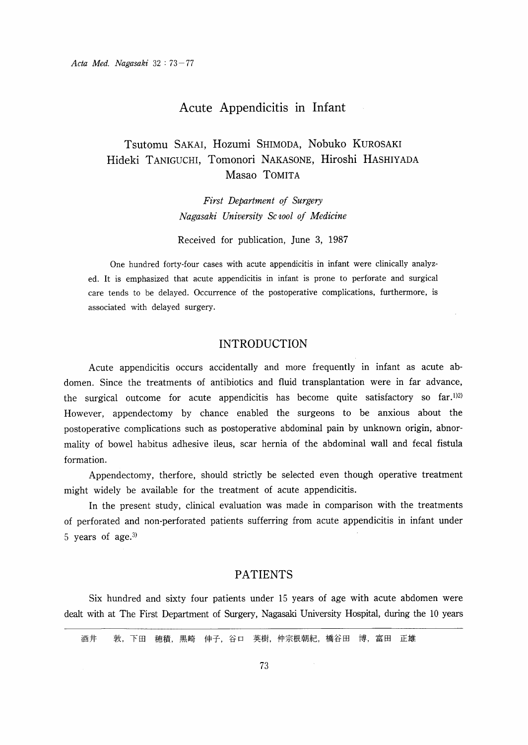# Acute Appendicitis in Infant

# Tsutomu SAKAI, Hozumi SHIMODA, Nobuko KUROSAKI Hideki TANIGUCHI, Tomonori NAKASONE, Hiroshi HASHIYADA Masao TOMITA

First Department of Surgery Nagasaki University Sc 100l of Medicine

Received for publication, June 3, 1987

One hundred forty-four cases with acute appendicitis in infant were clinically analyzed. It is emphasized that acute appendicitis in infant is prone to perforate and surgical care tends to be delayed. Occurrence of the postoperative complications, furthermore, is associated with delayed surgery.

## INTRODUCTION

Acute appendicitis occurs accidentally and more frequently in infant as acute abdomen. Since the treatments of antibiotics and fluid transplantation were in far advance, the surgical outcome for acute appendicitis has become quite satisfactory so  $far.^{1/2}$ However, appendectomy by chance enabled the surgeons to be anxious about the postoperative complications such as postoperative abdominal pain by unknown origin, abnormality of bowel habitus adhesive ileus, scar hernia of the abdominal wall and fecal fistula formation.

 Appendectomy, therfore, should strictly be selected even though operative treatment might widely be available for the treatment of acute appendicitis.

In the present study, clinical evaluation was made in comparison with the treatments of perforated and non-perforated patients sufferring from acute appendicitis in infant under 5 years of age.3)

### PATIENTS

Six hundred and sixty four patients under 15 years of age with acute abdomen were dealt with at The First Department of Surgery, Nagasaki University Hospital, during the 10 years

酒井 敦,下田 穂積,黒崎 伸子,谷口 英樹,仲宗根朝紀,橋谷田 博,富田 正雄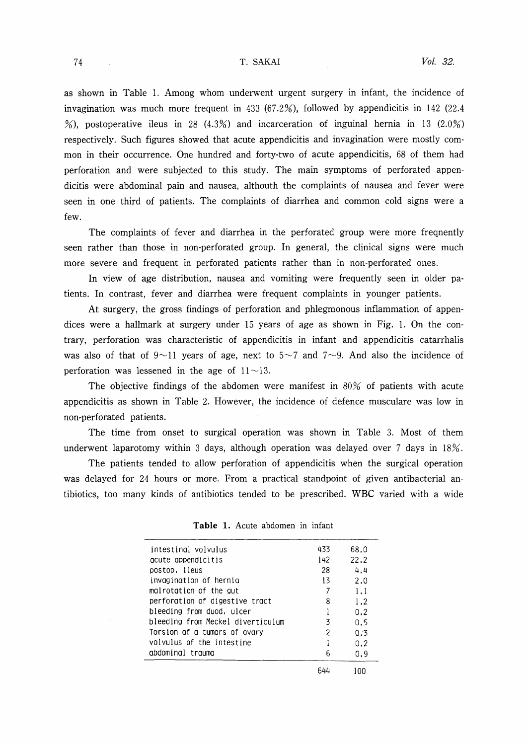#### T. SAKAI

as shown in Table 1. Among whom underwent urgent surgery in infant, the incidence of invagination was much more frequent in 433 (67.2%), followed by appendicitis in 142 (22.4) %), postoperative ileus in 28 (4.3%) and incarceration of inguinal hernia in 13 (2.0%) respectively. Such figures showed that acute appendicitis and invagination were mostly common in their occurrence. One hundred and forty-two of acute appendicitis, 68 of them had perforation and were subjected to this study. The main syrnptoms of perforated appendicitis were abdominal pain and nausea, althouth the complaints of nausea and fever were seen in one third of patients. The complaints of diarrhea and common cold signs were a few.

The complaints of fever and diarrhea in the perforated group were more freqnently seen rather than those in non-perforated group. In general, the clinical signs were much more severe and frequent in perforated patients rather than in non-perforated ones.

In view of age distribution, nausea and vomiting were frequently seen in older patients. In contrast, fever and diarrhea were frequent complaints in younger patients.

At surgery, the gross findings of perforation and phlegmonous inflammation of appendices were a hallmark at surgery under  $15$  years of age as shown in Fig. 1. On the contrary, perforation was characteristic of appendicitis in infant and appendicitis catarrhalis was also of that of  $9\sim11$  years of age, next to  $5\sim7$  and  $7\sim9$ . And also the incidence of perforation was lessened in the age of  $11 \sim 13$ .

The objective findings of the abdomen were manifest in 80% of patients with acute appendicitis as shown in Table 2. However, the incidence of defence musculare was low in non・perforated patients.

The time from onset to surgical operation was shown in Table 3. Most of them underwent laparotomy within 3 days, although operation was delayed over 7 days in  $18\%$ .

The patients tended to allow perforation of appendicitis when the surgical operation was delayed for 24 hours or more. From a practical standpoint of given antibacterial antibiotics, too many kinds of antibiotics tended to be prescribed. WBC varied with a wide

| intestingl volvulus               | 433 | 68.0 |
|-----------------------------------|-----|------|
| acute appendicitis                | 142 | 22.2 |
| postop, ileus                     | 28  | 4.4  |
| invagination of hernia            | 13  | 2.0  |
| malrotation of the gut            |     | 1.1  |
| perforation of digestive tract    | 8   | 1.2  |
| bleeding from duod, ulcer         |     | 0.2  |
| bleeding from Meckel diverticulum | 3   | 0.5  |
| Torsion of a tumors of ovary      | 2   | 0.3  |
| volvulus of the intestine         |     | 0.2  |
| abdominal trauma                  | հ   | 0.9  |
|                                   | 644 | 100  |

Table 1. Acute abdomen in infant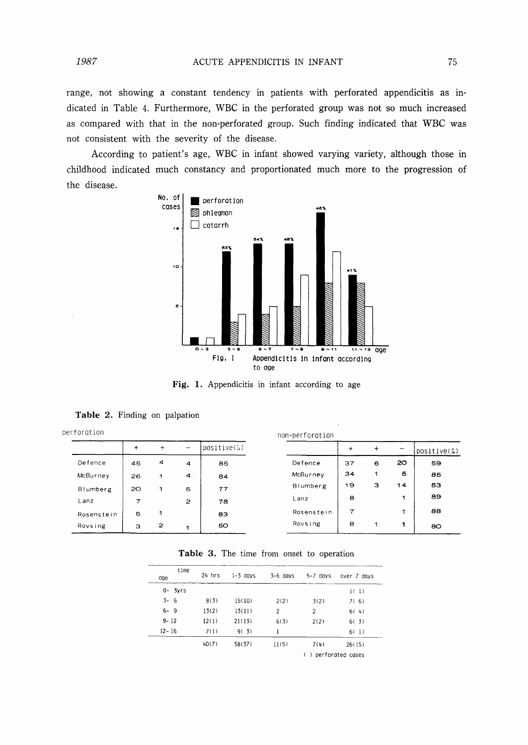range, not showing a constant tendency in patients with perforated appendicitis as indicated in Table 4. Furthermore, WBC in the perforated group was not so much increased as compared with that in the non-perforated group. Such finding indicated that WBC was not consistent with the severity of the disease.

According to patient's age, WBC in infant showed varying variety, although those in childhood indicated much constancy and proportionated much more to the progression of the disease.



Fig. 1. Appendicitis in infant according to age

Table 2. Finding on palpation

| perforation |           |              |                          |              | non-perforation |           |            |    |             |
|-------------|-----------|--------------|--------------------------|--------------|-----------------|-----------|------------|----|-------------|
|             | $\ddot{}$ | $+$          | $\overline{\phantom{a}}$ | $positive$ ; |                 | $\ddot{}$ | $\ddot{}$  |    | positive(%) |
| Defence     | 45        | 4            | $\overline{\mathbf{4}}$  | 85           | Defence         | 37        | $\epsilon$ | 20 | 59          |
| McBurney    | 26        | 1            | 4.1                      | 84           | McBurney        | 34        | 1          | Б  | 85          |
| Blumberg    | 20        | 1            | 5                        | 77           | Blumberg        | 19        | з          | 14 | 53          |
| Lanz        | 7         |              | $\overline{c}$           | 78           | Lanz            | 8         |            | 1  | 89          |
| Rosenstein  | 5         |              |                          | 83           | Rosenstein      | 7         |            | 1  | 88          |
| Rovsing     | з         | $\mathbf{z}$ | 4                        | 50           | Rovsing         | 8         | 1          | 1  | 80          |

| Table 3. The time from onset to operation |  |
|-------------------------------------------|--|
|-------------------------------------------|--|

| time<br>age | $24$ hrs | $1 - 3$ days | $3-6$ days | $5-7$ days                             | over 7 days |  |
|-------------|----------|--------------|------------|----------------------------------------|-------------|--|
| $0 - 3yrs$  |          |              |            |                                        | 1(1)        |  |
| $3 - 6$     | 8(3)     | 15(10)       | 2(2)       | 3(2)                                   | 7(6)        |  |
| $6 - 9$     | 13(2)    | 13(11)       | 2          | 2                                      | 6(4)        |  |
| $9 - 12$    | 12(1)    | 21(13)       | 6(3)       | 2(2)                                   | 6(3)        |  |
| $12 - 16$   | 7(1)     | 9(3)         |            |                                        | 6(1)        |  |
|             | 40(7)    | 58(37)       | 11(5)      | 7(4)                                   | 26(15)      |  |
|             |          |              |            | perforated cases<br>€<br>$\rightarrow$ |             |  |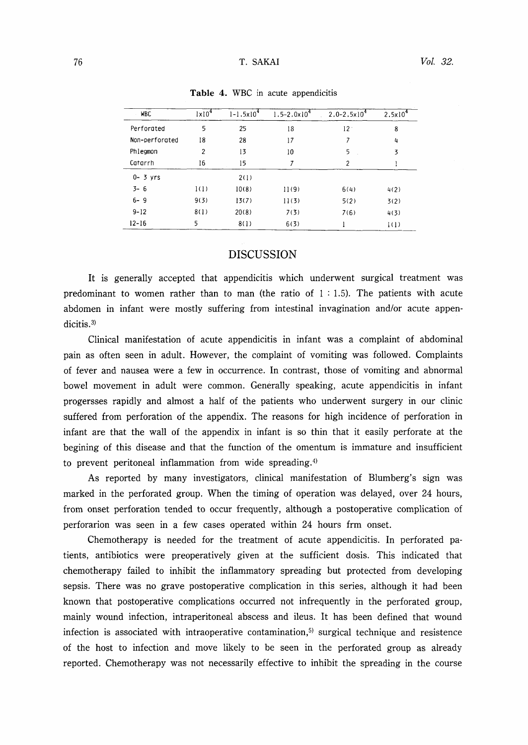### 76 T. SAKAI

| <b>WBC</b>     | $1 \times 10^4$ | $1 - 1.5 \times 10^{4}$ | $1.5 - 2.0 \times 10^4$ | $2.0 - 2.5 \times 10^{4}$ | $2.5 \times 10^{4}$ |
|----------------|-----------------|-------------------------|-------------------------|---------------------------|---------------------|
| Perforated     | 5               | 25                      | 18                      | 12.                       | 8                   |
| Non-perforated | 18              | 28                      | 17                      | 7                         | 4                   |
| Phlegmon       | $\overline{2}$  | 13                      | 10                      | 5                         | 3                   |
| Catarrh        | 16              | 15                      | 7                       | 2                         |                     |
| $0 - 3$ yrs    |                 | 2(1)                    |                         |                           |                     |
| $3 - 6$        | 1(1)            | 10(8)                   | 11(9)                   | 6(4)                      | 4(2)                |
| $6 - 9$        | 9(3)            | 13(7)                   | 11(3)                   | 5(2)                      | 3(2)                |
| $9 - 12$       | 8(1)            | 20(8)                   | 7(3)                    | 7(6)                      | 4(3)                |
| $12 - 16$      | 5               | 8(1)                    | 6(3)                    |                           | 1(1)                |

Table 4. WBC in acute appendicitis

### DISCUSSION

It is generally accepted that appendicitis which underwent surgical treatment was predominant to women rather than to man (the ratio of  $1:1.5$ ). The patients with acute abdomen in infant were mostly suffering from intestinal invagination and/or acute appendicitis.<sup>3)</sup>

Clinical manifestation of acute appendicitis in infant was a complaint of abdominal pain as often seen in adult. However, the complaint of vomiting was followed. Complaints of fever and nausea were a few in occurrence. In contrast, those of vomiting and abnormal bowel movement in adult were common. Generally speaking, acute appendicitis in infant progersses rapidly and almost a half of the patients who underwent surgery in our clinic suffered from perforation of the appendix. The reasons for high incidence of perforation in infant are that the wall of the appendix in infant is so thin that it easily perforate at the begining of this disease and that the function of the omentum is immature and insufficient to prevent peritoneal inflammation from wide spreading.4)

As reported by many investigators, clinical manifestation of Blumberg's sign was marked in the perforated group. When the timing of operation was delayed, over 24 hours, from onset perforation tended to occur frequently, although a postoperative complication of perforarion was seen in a few cases operated within 24 hours frm onset.

Chemotherapy is needed for the treatment of acute appendicitis. In perforated patients, antibiotics were preoperatively given at the sufficient dosis. This indicated that chemotherapy failed to inhibit the inflammatory spreading but protected from developing sepsis. There was no grave postoperative complication in this series, although it had been known that postoperative complications occurred not infrequently in the perforated group, mainly wound infection, intraperitoneal abscess and ileus. It has been defined that wound infection is associated with intraoperative contamination, $5$  surgical technique and resistence of the host to infection and move likely to be seen in the perforated group as already reported. Chemotherapy was not necessarily effective to inhibit the spreading in the course